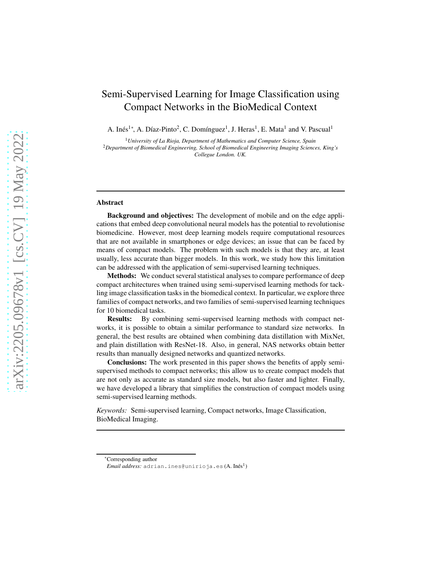# Semi-Supervised Learning for Image Classification using Compact Networks in the BioMedical Context

A. Inés<sup>1</sup>\*, A. Díaz-Pinto<sup>2</sup>, C. Domínguez<sup>1</sup>, J. Heras<sup>1</sup>, E. Mata<sup>1</sup> and V. Pascual<sup>1</sup>

<sup>1</sup>*University of La Rioja, Department of Mathematics and Computer Science, Spain*

<sup>2</sup>*Department of Biomedical Engineering, School of Biomedical Engineering Imaging Sciences, King's Collegue London. UK.*

#### Abstract

Background and objectives: The development of mobile and on the edge applications that embed deep convolutional neural models has the potential to revolutionise biomedicine. However, most deep learning models require computational resources that are not available in smartphones or edge devices; an issue that can be faced by means of compact models. The problem with such models is that they are, at least usually, less accurate than bigger models. In this work, we study how this limitation can be addressed with the application of semi-supervised learning techniques.

Methods: We conduct several statistical analyses to compare performance of deep compact architectures when trained using semi-supervised learning methods for tackling image classification tasks in the biomedical context. In particular, we explore three families of compact networks, and two families of semi-supervised learning techniques for 10 biomedical tasks.

Results: By combining semi-supervised learning methods with compact networks, it is possible to obtain a similar performance to standard size networks. In general, the best results are obtained when combining data distillation with MixNet, and plain distillation with ResNet-18. Also, in general, NAS networks obtain better results than manually designed networks and quantized networks.

Conclusions: The work presented in this paper shows the benefits of apply semisupervised methods to compact networks; this allow us to create compact models that are not only as accurate as standard size models, but also faster and lighter. Finally, we have developed a library that simplifies the construction of compact models using semi-supervised learning methods.

*Keywords:* Semi-supervised learning, Compact networks, Image Classification, BioMedical Imaging.

<sup>∗</sup>Corresponding author

 $\emph{Email address:}$  adrian.ines@unirioja.es ( $\emph{A. In\'es}^1)$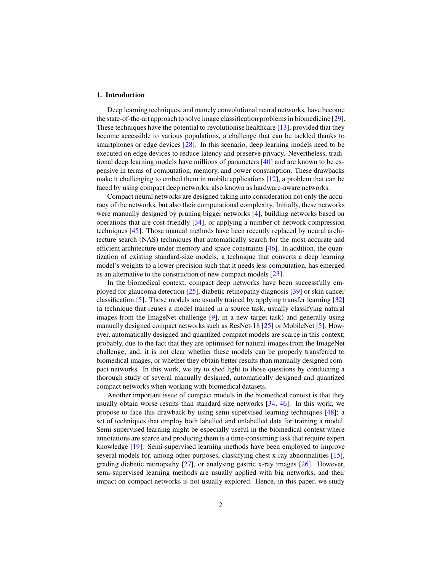#### 1. Introduction

Deep learning techniques, and namely convolutional neural networks, have become the state-of-the-art approach to solve image classification problems in biomedicine [\[29\]](#page-15-0). These techniques have the potential to revolutionise healthcare [\[13\]](#page-14-0), provided that they become accessible to various populations, a challenge that can be tackled thanks to smartphones or edge devices [\[28\]](#page-15-1). In this scenario, deep learning models need to be executed on edge devices to reduce latency and preserve privacy. Nevertheless, traditional deep learning models have millions of parameters [\[40\]](#page-16-0) and are known to be expensive in terms of computation, memory, and power consumption. These drawbacks make it challenging to embed them in mobile applications [\[12\]](#page-14-1), a problem that can be faced by using compact deep networks, also known as hardware-aware networks.

Compact neural networks are designed taking into consideration not only the accuracy of the networks, but also their computational complexity. Initially, these networks were manually designed by pruning bigger networks [\[4\]](#page-13-0), building networks based on operations that are cost-friendly [\[34\]](#page-16-1), or applying a number of network compression techniques [\[45\]](#page-17-0). Those manual methods have been recently replaced by neural architecture search (NAS) techniques that automatically search for the most accurate and efficient architecture under memory and space constraints [\[46](#page-17-1)]. In addition, the quantization of existing standard-size models, a technique that converts a deep learning model's weights to a lower precision such that it needs less computation, has emerged as an alternative to the construction of new compact models [\[23\]](#page-15-2).

In the biomedical context, compact deep networks have been successfully employed for glaucoma detection [\[25\]](#page-15-3), diabetic retinopathy diagnosis [\[39\]](#page-16-2) or skin cancer classification [\[5\]](#page-13-1). Those models are usually trained by applying transfer learning [\[32](#page-16-3)] (a technique that reuses a model trained in a source task, usually classifying natural images from the ImageNet challenge [\[9\]](#page-14-2), in a new target task) and generally using manually designed compact networks such as ResNet-18 [\[25\]](#page-15-3) or MobileNet [\[5](#page-13-1)]. However, automatically designed and quantized compact models are scarce in this context; probably, due to the fact that they are optimised for natural images from the ImageNet challenge; and, it is not clear whether these models can be properly transferred to biomedical images, or whether they obtain better results than manually designed compact networks. In this work, we try to shed light to those questions by conducting a thorough study of several manually designed, automatically designed and quantized compact networks when working with biomedical datasets.

Another important issue of compact models in the biomedical context is that they usually obtain worse results than standard size networks [\[34,](#page-16-1) [46\]](#page-17-1). In this work, we propose to face this drawback by using semi-supervised learning techniques [\[48\]](#page-17-2); a set of techniques that employ both labelled and unlabelled data for training a model. Semi-supervised learning might be especially useful in the biomedical context where annotations are scarce and producing them is a time-consuming task that require expert knowledge [\[19\]](#page-14-3). Semi-supervised learning methods have been employed to improve several models for, among other purposes, classifying chest x-ray abnormalities [\[15\]](#page-14-4), grading diabetic retinopathy [\[27\]](#page-15-4), or analysing gastric x-ray images [\[26\]](#page-15-5). However, semi-supervised learning methods are usually applied with big networks, and their impact on compact networks is not usually explored. Hence, in this paper, we study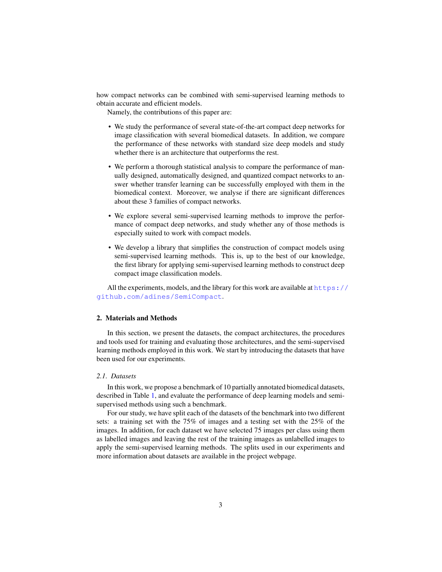how compact networks can be combined with semi-supervised learning methods to obtain accurate and efficient models.

Namely, the contributions of this paper are:

- We study the performance of several state-of-the-art compact deep networks for image classification with several biomedical datasets. In addition, we compare the performance of these networks with standard size deep models and study whether there is an architecture that outperforms the rest.
- We perform a thorough statistical analysis to compare the performance of manually designed, automatically designed, and quantized compact networks to answer whether transfer learning can be successfully employed with them in the biomedical context. Moreover, we analyse if there are significant differences about these 3 families of compact networks.
- We explore several semi-supervised learning methods to improve the performance of compact deep networks, and study whether any of those methods is especially suited to work with compact models.
- We develop a library that simplifies the construction of compact models using semi-supervised learning methods. This is, up to the best of our knowledge, the first library for applying semi-supervised learning methods to construct deep compact image classification models.

All the experiments, models, and the library for this work are available at  $https:///$  $https:///$ [github.com/adines/SemiCompact](https://github.com/adines/SemiCompact).

## 2. Materials and Methods

In this section, we present the datasets, the compact architectures, the procedures and tools used for training and evaluating those architectures, and the semi-supervised learning methods employed in this work. We start by introducing the datasets that have been used for our experiments.

## *2.1. Datasets*

In this work, we propose a benchmark of 10 partially annotated biomedical datasets, described in Table [1,](#page-3-0) and evaluate the performance of deep learning models and semisupervised methods using such a benchmark.

For our study, we have split each of the datasets of the benchmark into two different sets: a training set with the 75% of images and a testing set with the 25% of the images. In addition, for each dataset we have selected 75 images per class using them as labelled images and leaving the rest of the training images as unlabelled images to apply the semi-supervised learning methods. The splits used in our experiments and more information about datasets are available in the project webpage.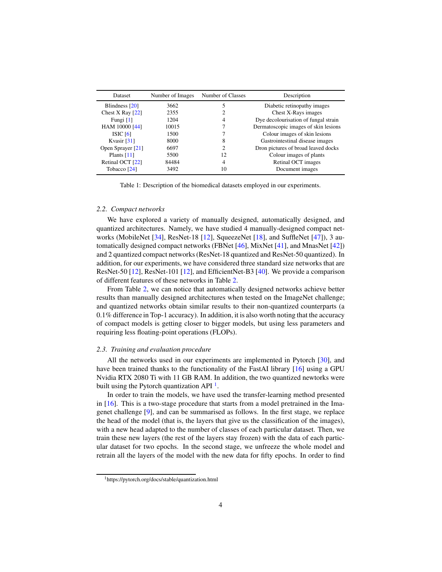<span id="page-3-0"></span>

| <b>Dataset</b>     | Number of Images | Number of Classes           | Description                          |
|--------------------|------------------|-----------------------------|--------------------------------------|
| Blindness [20]     | 3662             |                             | Diabetic retinopathy images          |
| Chest X Ray $[22]$ | 2355             | 2                           | Chest X-Rays images                  |
| Fungi $[1]$        | 1204             | 4                           | Dye decolourisation of fungal strain |
| HAM 10000 [44]     | 10015            |                             | Dermatoscopic images of skin lesions |
| ISIC $[6]$         | 1500             |                             | Colour images of skin lesions        |
| Kvasir $[31]$      | 8000             | 8                           | Gastrointestinal disease images      |
| Open Sprayer [21]  | 6697             | $\mathcal{D}_{\mathcal{L}}$ | Dron pictures of broad leaved docks  |
| Plants $[11]$      | 5500             | 12                          | Colour images of plants              |
| Retinal OCT [22]   | 84484            | 4                           | Retinal OCT images                   |
| Tobacco [24]       | 3492             | 10                          | Document images                      |

Table 1: Description of the biomedical datasets employed in our experiments.

#### *2.2. Compact networks*

We have explored a variety of manually designed, automatically designed, and quantized architectures. Namely, we have studied 4 manually-designed compact networks (MobileNet [\[34\]](#page-16-1), ResNet-18 [\[12\]](#page-14-1), SqueezeNet [\[18](#page-14-7)], and SuffleNet [\[47\]](#page-17-4)), 3 automatically designed compact networks (FBNet [\[46](#page-17-1)], MixNet [\[41\]](#page-16-4), and MnasNet [\[42\]](#page-16-5)) and 2 quantized compact networks (ResNet-18 quantized and ResNet-50 quantized). In addition, for our experiments, we have considered three standard size networks that are ResNet-50 [\[12](#page-14-1)], ResNet-101 [\[12\]](#page-14-1), and EfficientNet-B3 [\[40\]](#page-16-0). We provide a comparison of different features of these networks in Table [2.](#page-4-0)

From Table [2,](#page-4-0) we can notice that automatically designed networks achieve better results than manually designed architectures when tested on the ImageNet challenge; and quantized networks obtain similar results to their non-quantized counterparts (a 0.1% difference in Top-1 accuracy). In addition, it is also worth noting that the accuracy of compact models is getting closer to bigger models, but using less parameters and requiring less floating-point operations (FLOPs).

#### *2.3. Training and evaluation procedure*

All the networks used in our experiments are implemented in Pytorch [\[30\]](#page-15-9), and have been trained thanks to the functionality of the FastAI library [\[16\]](#page-14-8) using a GPU Nvidia RTX 2080 Ti with 11 GB RAM. In addition, the two quantized newtorks were built using the Pytorch quantization API $<sup>1</sup>$  $<sup>1</sup>$  $<sup>1</sup>$ .</sup>

In order to train the models, we have used the transfer-learning method presented in  $[16]$ . This is a two-stage procedure that starts from a model pretrained in the Imagenet challenge [\[9\]](#page-14-2), and can be summarised as follows. In the first stage, we replace the head of the model (that is, the layers that give us the classification of the images), with a new head adapted to the number of classes of each particular dataset. Then, we train these new layers (the rest of the layers stay frozen) with the data of each particular dataset for two epochs. In the second stage, we unfreeze the whole model and retrain all the layers of the model with the new data for fifty epochs. In order to find

<span id="page-3-1"></span><sup>1</sup>https://pytorch.org/docs/stable/quantization.html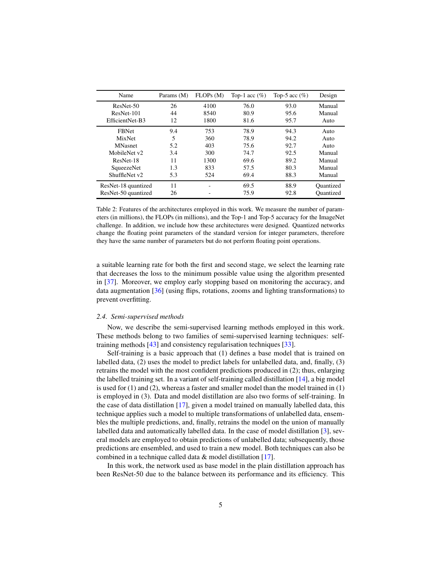<span id="page-4-0"></span>

| Name                | Params (M) | FLOPs(M) | Top-1 acc $(\%)$ | Top-5 acc $(\%)$ | Design    |
|---------------------|------------|----------|------------------|------------------|-----------|
| ResNet-50           | 26         | 4100     | 76.0             | 93.0             | Manual    |
| $ResNet-101$        | 44         | 8540     | 80.9             | 95.6             | Manual    |
| EfficientNet-B3     | 12         | 1800     | 81.6             | 95.7             | Auto      |
| <b>FBNet</b>        | 9.4        | 753      | 78.9             | 94.3             | Auto      |
| MixNet              | 5          | 360      | 78.9             | 94.2             | Auto      |
| <b>MNasnet</b>      | 5.2        | 403      | 75.6             | 92.7             | Auto      |
| MobileNet v2        | 3.4        | 300      | 74.7             | 92.5             | Manual    |
| ResNet-18           | 11         | 1300     | 69.6             | 89.2             | Manual    |
| SqueezeNet          | 1.3        | 833      | 57.5             | 80.3             | Manual    |
| ShuffleNet v2       | 5.3        | 524      | 69.4             | 88.3             | Manual    |
| ResNet-18 quantized | 11         | -        | 69.5             | 88.9             | Quantized |
| ResNet-50 quantized | 26         |          | 75.9             | 92.8             | Quantized |

Table 2: Features of the architectures employed in this work. We measure the number of parameters (in millions), the FLOPs (in millions), and the Top-1 and Top-5 accuracy for the ImageNet challenge. In addition, we include how these architectures were designed. Quantized networks change the floating point parameters of the standard version for integer parameters, therefore they have the same number of parameters but do not perform floating point operations.

a suitable learning rate for both the first and second stage, we select the learning rate that decreases the loss to the minimum possible value using the algorithm presented in [\[37\]](#page-16-6). Moreover, we employ early stopping based on monitoring the accuracy, and data augmentation [\[36\]](#page-16-7) (using flips, rotations, zooms and lighting transformations) to prevent overfitting.

## *2.4. Semi-supervised methods*

Now, we describe the semi-supervised learning methods employed in this work. These methods belong to two families of semi-supervised learning techniques: selftraining methods [\[43\]](#page-16-8) and consistency regularisation techniques [\[33\]](#page-16-9).

Self-training is a basic approach that (1) defines a base model that is trained on labelled data, (2) uses the model to predict labels for unlabelled data, and, finally, (3) retrains the model with the most confident predictions produced in (2); thus, enlarging the labelled training set. In a variant of self-training called distillation  $[14]$ , a big model is used for (1) and (2), whereas a faster and smaller model than the model trained in (1) is employed in (3). Data and model distillation are also two forms of self-training. In the case of data distillation [\[17](#page-14-10)], given a model trained on manually labelled data, this technique applies such a model to multiple transformations of unlabelled data, ensembles the multiple predictions, and, finally, retrains the model on the union of manually labelled data and automatically labelled data. In the case of model distillation [\[3\]](#page-13-4), several models are employed to obtain predictions of unlabelled data; subsequently, those predictions are ensembled, and used to train a new model. Both techniques can also be combined in a technique called data & model distillation [\[17](#page-14-10)].

In this work, the network used as base model in the plain distillation approach has been ResNet-50 due to the balance between its performance and its efficiency. This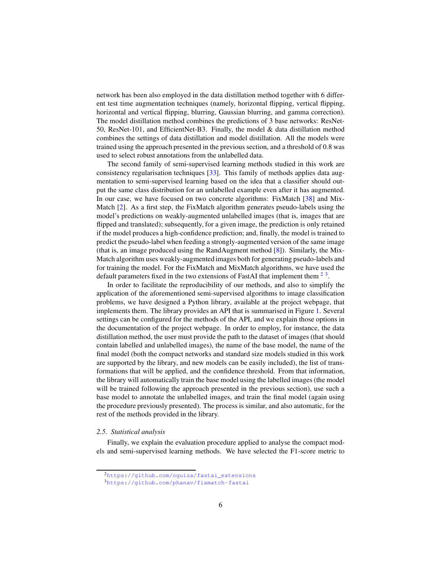network has been also employed in the data distillation method together with 6 different test time augmentation techniques (namely, horizontal flipping, vertical flipping, horizontal and vertical flipping, blurring, Gaussian blurring, and gamma correction). The model distillation method combines the predictions of 3 base networks: ResNet-50, ResNet-101, and EfficientNet-B3. Finally, the model & data distillation method combines the settings of data distillation and model distillation. All the models were trained using the approach presented in the previous section, and a threshold of 0.8 was used to select robust annotations from the unlabelled data.

The second family of semi-supervised learning methods studied in this work are consistency regularisation techniques [\[33\]](#page-16-9). This family of methods applies data augmentation to semi-supervised learning based on the idea that a classifier should output the same class distribution for an unlabelled example even after it has augmented. In our case, we have focused on two concrete algorithms: FixMatch [\[38\]](#page-16-10) and Mix-Match [\[2\]](#page-13-5). As a first step, the FixMatch algorithm generates pseudo-labels using the model's predictions on weakly-augmented unlabelled images (that is, images that are flipped and translated); subsequently, for a given image, the prediction is only retained if the model produces a high-confidence prediction; and, finally, the model is trained to predict the pseudo-label when feeding a strongly-augmented version of the same image (that is, an image produced using the RandAugment method [\[8\]](#page-14-11)). Similarly, the Mix-Match algorithm uses weakly-augmented images both for generating pseudo-labels and for training the model. For the FixMatch and MixMatch algorithms, we have used the default parameters fixed in the two extensions of FastAI that implement them  $2<sup>3</sup>$  $2<sup>3</sup>$ .

In order to facilitate the reproducibility of our methods, and also to simplify the application of the aforementioned semi-supervised algorithms to image classification problems, we have designed a Python library, available at the project webpage, that implements them. The library provides an API that is summarised in Figure [1.](#page-6-0) Several settings can be configured for the methods of the API, and we explain those options in the documentation of the project webpage. In order to employ, for instance, the data distillation method, the user must provide the path to the dataset of images (that should contain labelled and unlabelled images), the name of the base model, the name of the final model (both the compact networks and standard size models studied in this work are supported by the library, and new models can be easily included), the list of transformations that will be applied, and the confidence threshold. From that information, the library will automatically train the base model using the labelled images (the model will be trained following the approach presented in the previous section), use such a base model to annotate the unlabelled images, and train the final model (again using the procedure previously presented). The process is similar, and also automatic, for the rest of the methods provided in the library.

#### *2.5. Statistical analysis*

Finally, we explain the evaluation procedure applied to analyse the compact models and semi-supervised learning methods. We have selected the F1-score metric to

<sup>2</sup>https://github.com/oquiza/fastai\_extensions

<span id="page-5-1"></span><span id="page-5-0"></span><sup>3</sup><https://github.com/phanav/fixmatch-fastai>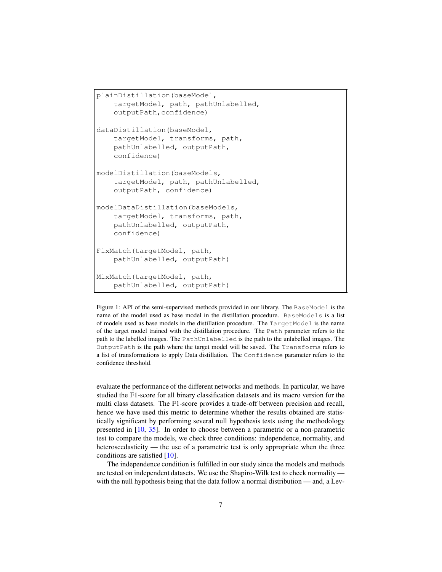```
plainDistillation(baseModel,
    targetModel, path, pathUnlabelled,
    outputPath,confidence)
dataDistillation(baseModel,
    targetModel, transforms, path,
    pathUnlabelled, outputPath,
    confidence)
modelDistillation(baseModels,
    targetModel, path, pathUnlabelled,
    outputPath, confidence)
modelDataDistillation(baseModels,
    targetModel, transforms, path,
    pathUnlabelled, outputPath,
    confidence)
FixMatch(targetModel, path,
    pathUnlabelled, outputPath)
MixMatch(targetModel, path,
    pathUnlabelled, outputPath)
```
Figure 1: API of the semi-supervised methods provided in our library. The BaseModel is the name of the model used as base model in the distillation procedure. BaseModels is a list of models used as base models in the distillation procedure. The TargetModel is the name of the target model trained with the distillation procedure. The Path parameter refers to the path to the labelled images. The PathUnlabelled is the path to the unlabelled images. The OutputPath is the path where the target model will be saved. The Transforms refers to a list of transformations to apply Data distillation. The Confidence parameter refers to the confidence threshold.

evaluate the performance of the different networks and methods. In particular, we have studied the F1-score for all binary classification datasets and its macro version for the multi class datasets. The F1-score provides a trade-off between precision and recall, hence we have used this metric to determine whether the results obtained are statistically significant by performing several null hypothesis tests using the methodology presented in [\[10,](#page-14-12) [35\]](#page-16-11). In order to choose between a parametric or a non-parametric test to compare the models, we check three conditions: independence, normality, and heteroscedasticity — the use of a parametric test is only appropriate when the three conditions are satisfied [\[10\]](#page-14-12).

The independence condition is fulfilled in our study since the models and methods are tested on independent datasets. We use the Shapiro-Wilk test to check normality with the null hypothesis being that the data follow a normal distribution — and, a Lev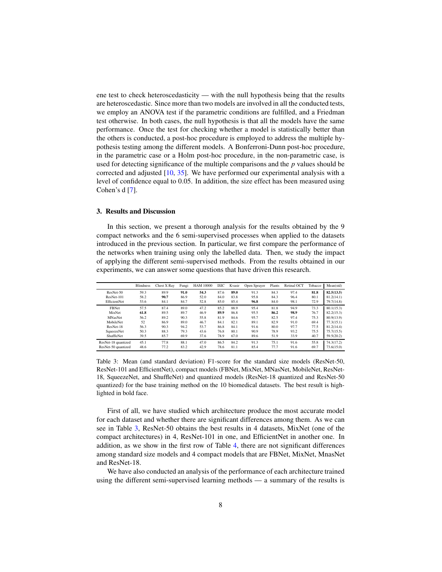ene test to check heteroscedasticity — with the null hypothesis being that the results are heteroscedastic. Since more than two models are involved in all the conducted tests, we employ an ANOVA test if the parametric conditions are fulfilled, and a Friedman test otherwise. In both cases, the null hypothesis is that all the models have the same performance. Once the test for checking whether a model is statistically better than the others is conducted, a post-hoc procedure is employed to address the multiple hypothesis testing among the different models. A Bonferroni-Dunn post-hoc procedure, in the parametric case or a Holm post-hoc procedure, in the non-parametric case, is used for detecting significance of the multiple comparisons and the *p* values should be corrected and adjusted [\[10](#page-14-12), [35\]](#page-16-11). We have performed our experimental analysis with a level of confidence equal to 0.05. In addition, the size effect has been measured using Cohen's d [\[7\]](#page-14-13).

## 3. Results and Discussion

In this section, we present a thorough analysis for the results obtained by the 9 compact networks and the 6 semi-supervised processes when applied to the datasets introduced in the previous section. In particular, we first compare the performance of the networks when training using only the labelled data. Then, we study the impact of applying the different semi-supervised methods. From the results obtained in our experiments, we can answer some questions that have driven this research.

<span id="page-7-0"></span>

|                     | <b>Blindness</b> | Chest X Rav | Fungi | <b>HAM 10000</b> | <b>ISIC</b> | Kvasir | Open Sprayer | Plants | Retinal OCT | Tobacco | Mean(std)  |
|---------------------|------------------|-------------|-------|------------------|-------------|--------|--------------|--------|-------------|---------|------------|
| ResNet-50           | 59.3             | 89.9        | 91.0  | 54.3             | 87.6        | 89.0   | 91.3         | 84.3   | 97.4        | 81.8    | 82.5(13.5) |
| ResNet-101          | 58.2             | 90.7        | 86.9  | 52.0             | 84.0        | 83.8   | 95.8         | 84.3   | 96.4        | 80.1    | 81.2(14.1) |
| EfficientNet        | 53.6             | 84.1        | 84.7  | 52.8             | 85.0        | 85.4   | 96.8         | 84.0   | 98.1        | 72.9    | 79.7(14.8) |
| FBNet               | 57.5             | 87.4        | 89.0  | 47.2             | 85.2        | 88.9   | 95.4         | 81.8   | 94.9        | 73.3    | 80.1(15.3) |
| MixNet              | 61.8             | 89.5        | 89.7  | 46.9             | 89.9        | 86.8   | 95.5         | 86.2   | 98.9        | 76.7    | 82.2(15.3) |
| <b>MNasNet</b>      | 56.2             | 89.2        | 90.3  | 55.8             | 81.9        | 84.6   | 95.7         | 82.5   | 97.4        | 75.3    | 80.9(13.9) |
| MobileNet           | 52               | 86.9        | 89.0  | 46.7             | 84.1        | 82.1   | 89.1         | 82.9   | 91.0        | 69.4    | 77.3(15.1) |
| ResNet-18           | 56.3             | 90.3        | 94.2  | 53.7             | 86.8        | 84.1   | 91.6         | 80.0   | 97.7        | 77.5    | 81.2(14.4) |
| <b>SqueezeNet</b>   | 50.3             | 88.3        | 79.3  | 43.6             | 76.8        | 80.1   | 90.9         | 78.9   | 93.2        | 75.5    | 75.7(15.5) |
| ShuffleNet          | 39.5             | 85.7        | 69.9  | 37.6             | 78.9        | 67.0   | 89.6         | 51.9   | 33.9        | 40.7    | 59.5(20.2) |
| ResNet-18 quantized | 45.1             | 77.8        | 88.1  | 47.0             | 86.5        | 84.2   | 91.3         | 75.1   | 91.6        | 55.8    | 74.3(17.2) |
| ResNet-50 quantized | 48.6             | 77.2        | 83.2  | 42.9             | 78.6        | 81.1   | 85.4         | 77.7   | 91.6        | 69.7    | 73.6(15.0) |

Table 3: Mean (and standard deviation) F1-score for the standard size models (ResNet-50, ResNet-101 and EfficientNet), compact models (FBNet, MixNet, MNasNet, MobileNet, ResNet-18, SqueezeNet, and ShuffleNet) and quantized models (ResNet-18 quantized and ResNet-50 quantized) for the base training method on the 10 biomedical datasets. The best result is highlighted in bold face.

First of all, we have studied which architecture produce the most accurate model for each dataset and whether there are significant differences among them. As we can see in Table [3,](#page-7-0) ResNet-50 obtains the best results in 4 datasets, MixNet (one of the compact architectures) in 4, ResNet-101 in one, and EfficientNet in another one. In addition, as we show in the first row of Table [4,](#page-8-0) there are not significant differences among standard size models and 4 compact models that are FBNet, MixNet, MnasNet and ResNet-18.

We have also conducted an analysis of the performance of each architecture trained using the different semi-supervised learning methods — a summary of the results is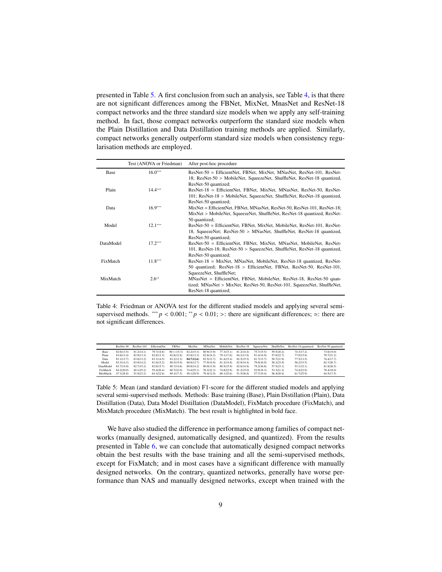presented in Table [5.](#page-8-1) A first conclusion from such an analysis, see Table [4,](#page-8-0) is that there are not significant differences among the FBNet, MixNet, MnasNet and ResNet-18 compact networks and the three standard size models when we apply any self-training method. In fact, those compact networks outperform the standard size models when the Plain Distillation and Data Distillation training methods are applied. Similarly, compact networks generally outperform standard size models when consistency regularisation methods are employed.

<span id="page-8-0"></span>

|           | Test (ANOVA or Friedman) | After post-hoc procedure                                                                                                                                                         |
|-----------|--------------------------|----------------------------------------------------------------------------------------------------------------------------------------------------------------------------------|
| Base      | $16.0***$                | $ResNet-50 \simeq$ EfficientNet, FBNet, MixNet, MNasNet, ResNet-101, ResNet-<br>18; ResNet-50 > MobileNet, SqueezeNet, ShuffleNet, ResNet-18 quantized,<br>ResNet-50 quantized;  |
| Plain     | $14.4***$                | $ResNet-18 \approx$ EfficientNet, FBNet, MixNet, MNasNet, ResNet-50, ResNet-<br>101; ResNet-18 > MobileNet, SqueezeNet, ShuffleNet, ResNet-18 quantized,<br>ResNet-50 quantized; |
| Data      | $16.9***$                | $MixNet \approx EfficientNet$ , FBNet, MNasNet, ResNet-50, ResNet-101, ResNet-18;<br>MixNet > MobileNet, SqueezeNet, ShuffleNet, ResNet-18 quantized, ResNet-<br>50 quantized:   |
| Model     | $12.1***$                | $ResNet-50 \simeq$ EfficientNet, FBNet, MixNet, MobileNet, ResNet-101, ResNet-<br>18, SqueezeNet; ResNet-50 > MNasNet, ShuffleNet, ResNet-18 quantized,<br>ResNet-50 quantized;  |
| DataModel | $17.2***$                | $ResNet-50 \simeq$ EfficientNet, FBNet, MixNet, MNasNet, MobileNet, ResNet-<br>101, ResNet-18; ResNet-50 > SqueezeNet, ShuffleNet, ResNet-18 quantized,<br>ResNet-50 quantized;  |
| FixMatch  | $11.8***$                | $ResNet-18 \simeq MixNet$ , MNasNet, MobileNet, ResNet-18 quantized, ResNet-<br>50 quantized; ResNet-18 > EfficientNet, FBNet, ResNet-50, ResNet-101,<br>SqueezeNet, ShuffleNet; |
| MixMatch  | $2.6***$                 | MNasNet $\simeq$ EfficientNet, FBNet, MobileNet, ResNet-18, ResNet-50 quan-<br>tized; MNasNet > MixNet, ResNet-50, ResNet-101, SqueezeNet, ShuffleNet,<br>ResNet-18 quantized;   |

Table 4: Friedman or ANOVA test for the different studied models and applying several semisupervised methods. \*\*\*  $p < 0.001$ ; \*\*  $p < 0.01$ ; >: there are significant differences; ≃: there are not significant differences.

<span id="page-8-1"></span>

|           | ResNet-50  | ResNet-101 | EfficientNet | FBNet       | MixNet     | MNasNet    | MobileNet  | ResNet-18  | SqueezeNet | ShuffleNet | ResNet-18 quantized | ResNet-50 quantized |
|-----------|------------|------------|--------------|-------------|------------|------------|------------|------------|------------|------------|---------------------|---------------------|
| Base      | 82.6(13.5) | 81.2(14.1) | 79.7(14.8)   | 80.1 (15.3) | 82.2(15.3) | 80.9(13.9) | 77.3(15.1) | 81.2(14.4) | 75.7(15.5) | 59.5(20.2) | 74.3(17.2)          | 73.6(15.0)          |
| Plain     | 83.6(13.4) | 82.9(13.3) | 82.8(13.3)   | 82.6(12.8)  | 83.8(13.3) | 82.6(14.2) | 79.1(17.6) | 84.2(13.8) | 81.4(14.9) | 57.8(22.7) | 77.0(15.8)          | 70.7(21.2)          |
| Data      | 83.1(13.7) | 83.0(13.2) | 83.1(14.5)   | 83.2(12.2)  | 84,7(12.6) | 83.5(12.7) | 81.4(15.4) | 82.5(15.5) | 81.7(13.7) | 58.7(21.9) | 77.5(13.5)          | 74.4(17.7)          |
| Model     | 83.3(14.3) | 83.0(14.2) | 81.0(15.2)   | 80.5(15.0)  | 80.8(12.7) | 77.9(14.8) | 81.2(14.9) | 82.9(14.4) | 79.0(16.9) | 56.2(23.9) | 56.2(33.5)          | 62.7(26.7)          |
| DataModel | 83.7(14.0) | 82.7(15.2) | 82.0(15.7)   | 80.7(14.6)  | 80.8(14.2) | 80.0(13.9) | 80.5(15.9) | 82.8(14.8) | 79.2(16.6) | 57.5(23.1) | 53.1(32.1)          | 61.8(26.5)          |
| FixMatch  | 64.2(20.0) | 40.1(25.2) | 55.4(26.4)   | 60.7(22.0)  | 74.4(25.1) | 76.2(22.3) | 74.8(22.9) | 81.2(15.0) | 52.0(18.3) | 53.3(21.2) | 74.4(22.9)          | 78.4(18.0)          |
| MixMatch  | 47.1(28.8) | 51.0(23.2) | 64.3(22.6)   | 69.3(17.5)  | 49.1(28.9) | 79.4(12.9) | 68.1(25.6) | 51.5(36.8) | 57.7(19.4) | 56.4(20.4) | 61.7(25.9)          | 64.5(17.5)          |

Table 5: Mean (and standard deviation) F1-score for the different studied models and applying several semi-supervised methods. Methods: Base training (Base), Plain Distillation (Plain), Data Distillation (Data), Data Model Distillation (DataModel), FixMatch procedure (FixMatch), and MixMatch procedure (MixMatch). The best result is highlighted in bold face.

We have also studied the difference in performance among families of compact networks (manually designed, automatically designed, and quantized). From the results presented in Table [6,](#page-9-0) we can conclude that automatically designed compact networks obtain the best results with the base training and all the semi-supervised methods, except for FixMatch; and in most cases have a significant difference with manually designed networks. On the contrary, quantized networks, generally have worse performance than NAS and manually designed networks, except when trained with the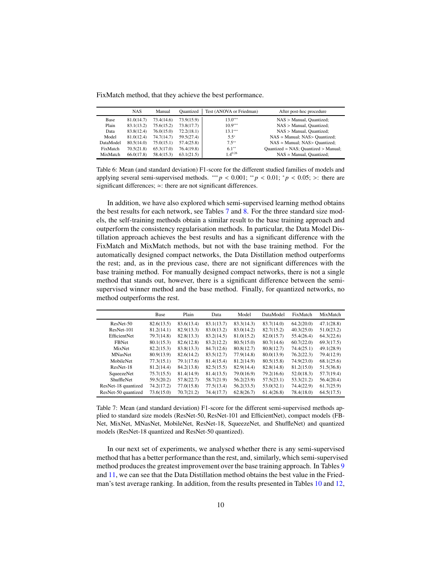<span id="page-9-0"></span>FixMatch method, that they achieve the best performance.

|           | <b>NAS</b> | Manual     | Ouantized  | Test (ANOVA or Friedman) | After post-hoc procedure                      |
|-----------|------------|------------|------------|--------------------------|-----------------------------------------------|
| Base      | 81.0(14.7) | 73.4(14.6) | 73.9(15.9) | $13.0***$                | $NAS >$ Manual, Quantized;                    |
| Plain     | 83.1(13.2) | 75.6(15.2) | 73.8(17.7) | $10.9***$                | NAS > Manual, Quantized;                      |
| Data      | 83.8(12.4) | 76.0(15.0) | 72.2(18.1) | $13.1***$                | NAS > Manual, Ouantized:                      |
| Model     | 81.0(12.4) | 74.7(14.7) | 59.5(27.4) | $5.5^*$                  | $NAS \approx$ Manual; $NAS >$ Quantized;      |
| DataModel | 80.5(14.0) | 75.0(15.1) | 57.4(25.8) | $7.5***$                 | $NAS \approx$ Manual; $NAS >$ Quantized;      |
| FixMatch  | 70.5(21.8) | 65.3(17.0) | 76.4(19.8) | $6.1**$                  | Quantized $\simeq$ NAS; Quantized $>$ Manual; |
| MixMatch  | 66.0(17.8) | 58.4(15.3) | 63.1(21.5) | $1.4^{0.26}$             | $NAS \approx$ Manual, Quantized;              |

Table 6: Mean (and standard deviation) F1-score for the different studied families of models and applying several semi-supervised methods. \*\*\*  $p < 0.001$ ; \*\*  $p < 0.01$ ; \*  $p < 0.05$ ; >: there are significant differences; ≃: there are not significant differences.

In addition, we have also explored which semi-supervised learning method obtains the best results for each network, see Tables [7](#page-9-1) and [8.](#page-10-0) For the three standard size models, the self-training methods obtain a similar result to the base training approach and outperform the consistency regularisation methods. In particular, the Data Model Distillation approach achieves the best results and has a significant difference with the FixMatch and MixMatch methods, but not with the base training method. For the automatically designed compact networks, the Data Distillation method outperforms the rest; and, as in the previous case, there are not significant differences with the base training method. For manually designed compact networks, there is not a single method that stands out, however, there is a significant difference between the semisupervised winner method and the base method. Finally, for quantized networks, no method outperforms the rest.

<span id="page-9-1"></span>

|                     | Base       | Plain      | Data       | Model      | DataModel  | FixMatch   | MixMatch   |
|---------------------|------------|------------|------------|------------|------------|------------|------------|
| ResNet-50           | 82.6(13.5) | 83.6(13.4) | 83.1(13.7) | 83.3(14.3) | 83.7(14.0) | 64.2(20.0) | 47.1(28.8) |
| ResNet-101          | 81.2(14.1) | 82.9(13.3) | 83.0(13.2) | 83.0(14.2) | 82.7(15.2) | 40.3(25.0) | 51.0(23.2) |
| <b>EfficientNet</b> | 79.7(14.8) | 82.8(13.3) | 83.2(14.5) | 81.0(15.2) | 82.0(15.7) | 55.4(26.4) | 64.3(22.6) |
| <b>FBNet</b>        | 80.1(15.3) | 82.6(12.8) | 83.2(12.2) | 80.5(15.0) | 80.7(14.6) | 60.7(22.0) | 69.3(17.5) |
| <b>MixNet</b>       | 82.2(15.3) | 83.8(13.3) | 84.7(12.6) | 80.8(12.7) | 80.8(12.7) | 74.4(25.1) | 49.1(28.9) |
| <b>MNasNet</b>      | 80.9(13.9) | 82.6(14.2) | 83.5(12.7) | 77.9(14.8) | 80.0(13.9) | 76.2(22.3) | 79.4(12.9) |
| MobileNet           | 77.3(15.1) | 79.1(17.6) | 81.4(15.4) | 81.2(14.9) | 80.5(15.8) | 74.9(23.0) | 68.1(25.6) |
| ResNet-18           | 81.2(14.4) | 84.2(13.8) | 82.5(15.5) | 82.9(14.4) | 82.8(14.8) | 81.2(15.0) | 51.5(36.8) |
| SqueezeNet          | 75.7(15.5) | 81.4(14.9) | 81.4(13.5) | 79.0(16.9) | 79.2(16.6) | 52.0(18.3) | 57.7(19.4) |
| ShuffleNet          | 59.5(20.2) | 57.8(22.7) | 58.7(21.9) | 56.2(23.9) | 57.5(23.1) | 53.3(21.2) | 56.4(20.4) |
| ResNet-18 quantized | 74.2(17.2) | 77.0(15.8) | 77.5(13.4) | 56.2(33.5) | 53.0(32.1) | 74.4(22.9) | 61.7(25.9) |
| ResNet-50 quantized | 73.6(15.0) | 70.7(21.2) | 74.4(17.7) | 62.8(26.7) | 61.4(26.8) | 78.4(18.0) | 64.5(17.5) |

Table 7: Mean (and standard deviation) F1-score for the different semi-supervised methods applied to standard size models (ResNet-50, ResNet-101 and EfficientNet), compact models (FB-Net, MixNet, MNasNet, MobileNet, ResNet-18, SqueezeNet, and ShuffleNet) and quantized models (ResNet-18 quantized and ResNet-50 quantized).

In our next set of experiments, we analysed whether there is any semi-supervised method that has a better performance than the rest, and, similarly, which semi-supervised method produces the greatest improvement over the base training approach. In Tables [9](#page-10-1) and [11,](#page-11-0) we can see that the Data Distillation method obtains the best value in the Friedman's test average ranking. In addition, from the results presented in Tables [10](#page-11-1) and [12,](#page-12-0)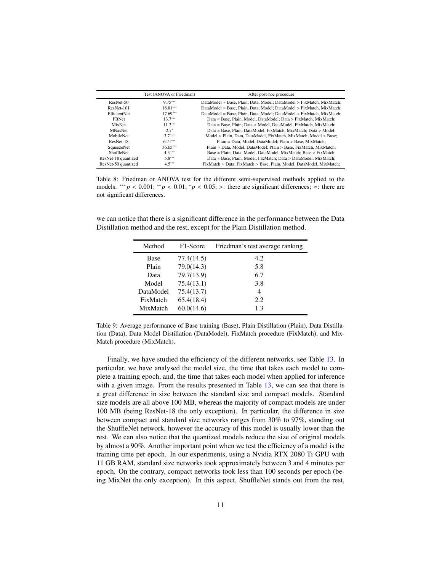<span id="page-10-0"></span>

|                     | Test (ANOVA or Friedman) | After post-hoc procedure                                                       |
|---------------------|--------------------------|--------------------------------------------------------------------------------|
| ResNet-50           | $9.75***$                | DataModel ≃ Base, Plain, Data, Model; DataModel > FixMatch, MixMatch;          |
| ResNet-101          | $18.81***$               | DataModel $\simeq$ Base, Plain, Data, Model: DataModel $>$ FixMatch, MixMatch: |
| EfficientNet        | $17.69***$               | DataModel $\simeq$ Base, Plain, Data, Model; DataModel $>$ FixMatch, MixMatch; |
| <b>FBNet</b>        | $13.7***$                | Data $\simeq$ Base, Plain, Model, DataModel; Data $>$ FixMatch, MixMatch;      |
| MixNet              | $11.2***$                | Data $\simeq$ Base, Plain: Data $>$ Model, DataModel, FixMatch, MixMatch:      |
| <b>MNasNet</b>      | $2.7*$                   | Data ≃ Base, Plain, DataModel, FixMatch, MixMatch; Data > Model;               |
| MobileNet           | $3.71**$                 | Model ≃ Plain, Data, DataModel, FixMatch, MixMatch; Model > Base;              |
| ResNet-18           | $6.71***$                | Plain $\simeq$ Data, Model, DataModel: Plain $>$ Base, MixMatch:               |
| SqueezeNet          | $36.65***$               | Plain $\simeq$ Data, Model, DataModel; Plain $>$ Base, FixMatch, MixMatch;     |
| ShuffleNet          | $4.31**$                 | Base $\simeq$ Plain, Data, Model, DataModel, MixMatch; Base $>$ FixMatch;      |
| ResNet-18 quantized | $5.8***$                 | Data ≃ Base, Plain, Model, FixMatch; Data > DataModel, MixMatch;               |
| ResNet-50 quantized | $4.5***$                 | FixMatch $\simeq$ Data; FixMatch $>$ Base, Plain, Model, DataModel, MixMatch;  |

Table 8: Friedman or ANOVA test for the different semi-supervised methods applied to the models. \*\*\* *p* < 0.001; \*\* *p* < 0.01; \**p* < 0.05; >: there are significant differences;  $\approx$ : there are not significant differences.

<span id="page-10-1"></span>we can notice that there is a significant difference in the performance between the Data Distillation method and the rest, except for the Plain Distillation method.

| Method      | F <sub>1</sub> -Score | Friedman's test average ranking |
|-------------|-----------------------|---------------------------------|
| <b>Base</b> | 77.4(14.5)            | 4.2                             |
| Plain       | 79.0(14.3)            | 5.8                             |
| Data        | 79.7(13.9)            | 6.7                             |
| Model       | 75.4(13.1)            | 3.8                             |
| DataModel   | 75.4(13.7)            | 4                               |
| FixMatch    | 65.4(18.4)            | 2.2                             |
| MixMatch    | 60.0(14.6)            | 1.3                             |

Table 9: Average performance of Base training (Base), Plain Distillation (Plain), Data Distillation (Data), Data Model Distillation (DataModel), FixMatch procedure (FixMatch), and Mix-Match procedure (MixMatch).

Finally, we have studied the efficiency of the different networks, see Table [13.](#page-12-1) In particular, we have analysed the model size, the time that takes each model to complete a training epoch, and, the time that takes each model when applied for inference with a given image. From the results presented in Table [13,](#page-12-1) we can see that there is a great difference in size between the standard size and compact models. Standard size models are all above 100 MB, whereas the majority of compact models are under 100 MB (being ResNet-18 the only exception). In particular, the difference in size between compact and standard size networks ranges from 30% to 97%, standing out the ShuffleNet network, however the accuracy of this model is usually lower than the rest. We can also notice that the quantized models reduce the size of original models by almost a 90%. Another important point when we test the efficiency of a model is the training time per epoch. In our experiments, using a Nvidia RTX 2080 Ti GPU with 11 GB RAM, standard size networks took approximately between 3 and 4 minutes per epoch. On the contrary, compact networks took less than 100 seconds per epoch (being MixNet the only exception). In this aspect, ShuffleNet stands out from the rest,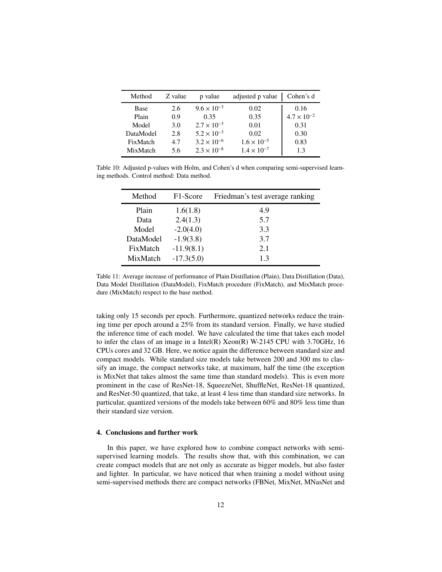<span id="page-11-1"></span>

| Method    | Z value | p value              | adjusted p value     | Cohen's d            |
|-----------|---------|----------------------|----------------------|----------------------|
| Base      | 2.6     | $9.6 \times 10^{-3}$ | 0.02                 | 0.16                 |
| Plain     | 0.9     | 0.35                 | 0.35                 | $4.7 \times 10^{-2}$ |
| Model     | 3.0     | $2.7 \times 10^{-3}$ | 0.01                 | 0.31                 |
| DataModel | 2.8     | $5.2 \times 10^{-3}$ | 0.02                 | 0.30                 |
| FixMatch  | 4.7     | $3.2 \times 10^{-6}$ | $1.6 \times 10^{-5}$ | 0.83                 |
| MixMatch  | 5.6     | $2.3 \times 10^{-8}$ | $1.4 \times 10^{-7}$ | 1.3                  |

<span id="page-11-0"></span>Table 10: Adjusted p-values with Holm, and Cohen's d when comparing semi-supervised learning methods. Control method: Data method.

| Method    | F <sub>1</sub> -Score | Friedman's test average ranking |
|-----------|-----------------------|---------------------------------|
| Plain     | 1.6(1.8)              | 4.9                             |
| Data      | 2.4(1.3)              | 5.7                             |
| Model     | $-2.0(4.0)$           | 3.3                             |
| DataModel | $-1.9(3.8)$           | 3.7                             |
| FixMatch  | $-11.9(8.1)$          | 2.1                             |
| MixMatch  | $-17.3(5.0)$          | 13                              |

Table 11: Average increase of performance of Plain Distillation (Plain), Data Distillation (Data), Data Model Distillation (DataModel), FixMatch procedure (FixMatch), and MixMatch procedure (MixMatch) respect to the base method.

taking only 15 seconds per epoch. Furthermore, quantized networks reduce the training time per epoch around a 25% from its standard version. Finally, we have studied the inference time of each model. We have calculated the time that takes each model to infer the class of an image in a Intel(R) Xeon(R) W-2145 CPU with 3.70GHz, 16 CPUs cores and 32 GB. Here, we notice again the difference between standard size and compact models. While standard size models take between 200 and 300 ms to classify an image, the compact networks take, at maximum, half the time (the exception is MixNet that takes almost the same time than standard models). This is even more prominent in the case of ResNet-18, SqueezeNet, ShuffleNet, ResNet-18 quantized, and ResNet-50 quantized, that take, at least 4 less time than standard size networks. In particular, quantized versions of the models take between 60% and 80% less time than their standard size version.

### 4. Conclusions and further work

In this paper, we have explored how to combine compact networks with semisupervised learning models. The results show that, with this combination, we can create compact models that are not only as accurate as bigger models, but also faster and lighter. In particular, we have noticed that when training a model without using semi-supervised methods there are compact networks (FBNet, MixNet, MNasNet and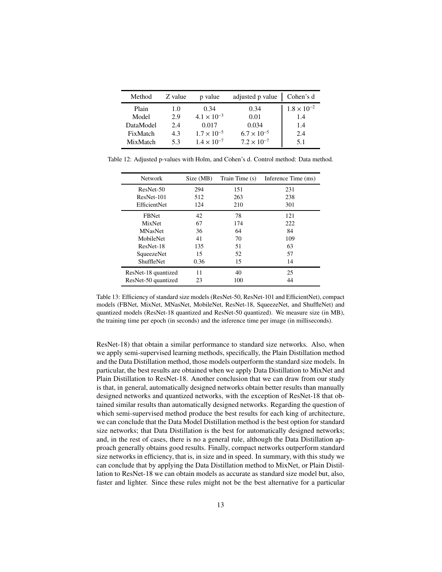<span id="page-12-0"></span>

| Method    | Z value | p value              | adjusted p value     | Cohen's d            |
|-----------|---------|----------------------|----------------------|----------------------|
| Plain     | 1.0     | 0.34                 | 0.34                 | $1.8 \times 10^{-2}$ |
| Model     | 2.9     | $4.1 \times 10^{-3}$ | 0.01                 | 1.4                  |
| DataModel | 2.4     | 0.017                | 0.034                | 1.4                  |
| FixMatch  | 4.3     | $1.7 \times 10^{-5}$ | $6.7 \times 10^{-5}$ | 2.4                  |
| MixMatch  | 53      | $1.4 \times 10^{-7}$ | $7.2 \times 10^{-7}$ | 5.1                  |

<span id="page-12-1"></span>Table 12: Adjusted p-values with Holm, and Cohen's d. Control method: Data method.

| <b>Network</b>      | Size (MB) | Train Time (s) | Inference Time (ms) |
|---------------------|-----------|----------------|---------------------|
| ResNet-50           | 294       | 151            | 231                 |
| ResNet-101          | 512       | 263            | 238                 |
| EfficientNet        | 124       | 210            | 301                 |
| <b>FBNet</b>        | 42        | 78             | 121                 |
| MixNet              | 67        | 174            | 222                 |
| <b>MNasNet</b>      | 36        | 64             | 84                  |
| MobileNet           | 41        | 70             | 109                 |
| ResNet-18           | 135       | 51             | 63                  |
| SqueezeNet          | 15        | 52             | 57                  |
| <b>ShuffleNet</b>   | 0.36      | 15             | 14                  |
| ResNet-18 quantized | 11        | 40             | 25                  |
| ResNet-50 quantized | 23        | 100            | 44                  |

Table 13: Efficiency of standard size models (ResNet-50, ResNet-101 and EfficientNet), compact models (FBNet, MixNet, MNasNet, MobileNet, ResNet-18, SqueezeNet, and ShuffleNet) and quantized models (ResNet-18 quantized and ResNet-50 quantized). We measure size (in MB), the training time per epoch (in seconds) and the inference time per image (in milliseconds).

ResNet-18) that obtain a similar performance to standard size networks. Also, when we apply semi-supervised learning methods, specifically, the Plain Distillation method and the Data Distillation method, those models outperform the standard size models. In particular, the best results are obtained when we apply Data Distillation to MixNet and Plain Distillation to ResNet-18. Another conclusion that we can draw from our study is that, in general, automatically designed networks obtain better results than manually designed networks and quantized networks, with the exception of ResNet-18 that obtained similar results than automatically designed networks. Regarding the question of which semi-supervised method produce the best results for each king of architecture, we can conclude that the Data Model Distillation method is the best option for standard size networks; that Data Distillation is the best for automatically designed networks; and, in the rest of cases, there is no a general rule, although the Data Distillation approach generally obtains good results. Finally, compact networks outperform standard size networks in efficiency, that is, in size and in speed. In summary, with this study we can conclude that by applying the Data Distillation method to MixNet, or Plain Distillation to ResNet-18 we can obtain models as accurate as standard size model but, also, faster and lighter. Since these rules might not be the best alternative for a particular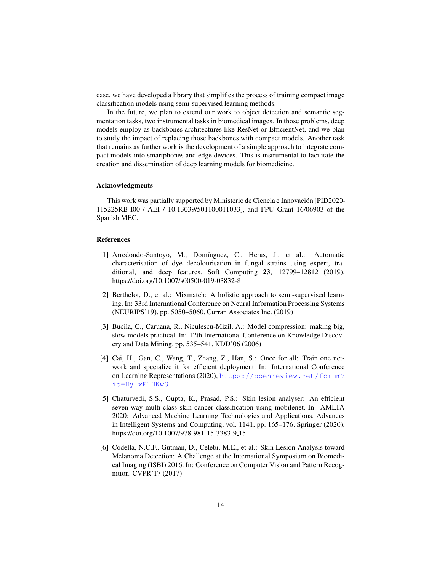case, we have developed a library that simplifies the process of training compact image classification models using semi-supervised learning methods.

In the future, we plan to extend our work to object detection and semantic segmentation tasks, two instrumental tasks in biomedical images. In those problems, deep models employ as backbones architectures like ResNet or EfficientNet, and we plan to study the impact of replacing those backbones with compact models. Another task that remains as further work is the development of a simple approach to integrate compact models into smartphones and edge devices. This is instrumental to facilitate the creation and dissemination of deep learning models for biomedicine.

#### Acknowledgments

This work was partially supported by Ministerio de Ciencia e Innovación [PID2020-115225RB-I00 / AEI / 10.13039/501100011033], and FPU Grant 16/06903 of the Spanish MEC.

#### References

- <span id="page-13-2"></span>[1] Arredondo-Santoyo, M., Domínguez, C., Heras, J., et al.: Automatic characterisation of dye decolourisation in fungal strains using expert, traditional, and deep features. Soft Computing 23, 12799–12812 (2019). https://doi.org/10.1007/s00500-019-03832-8
- <span id="page-13-5"></span>[2] Berthelot, D., et al.: Mixmatch: A holistic approach to semi-supervised learning. In: 33rd International Conference on Neural Information Processing Systems (NEURIPS'19). pp. 5050–5060. Curran Associates Inc. (2019)
- <span id="page-13-4"></span>[3] Bucila, C., Caruana, R., Niculescu-Mizil, A.: Model compression: making big, slow models practical. In: 12th International Conference on Knowledge Discovery and Data Mining. pp. 535–541. KDD'06 (2006)
- <span id="page-13-0"></span>[4] Cai, H., Gan, C., Wang, T., Zhang, Z., Han, S.: Once for all: Train one network and specialize it for efficient deployment. In: International Conference on Learning Representations (2020), [https://openreview.net/forum?](https://openreview.net/forum?id=HylxE1HKwS) [id=HylxE1HKwS](https://openreview.net/forum?id=HylxE1HKwS)
- <span id="page-13-1"></span>[5] Chaturvedi, S.S., Gupta, K., Prasad, P.S.: Skin lesion analyser: An efficient seven-way multi-class skin cancer classification using mobilenet. In: AMLTA 2020: Advanced Machine Learning Technologies and Applications. Advances in Intelligent Systems and Computing, vol. 1141, pp. 165–176. Springer (2020). https://doi.org/10.1007/978-981-15-3383-9 15
- <span id="page-13-3"></span>[6] Codella, N.C.F., Gutman, D., Celebi, M.E., et al.: Skin Lesion Analysis toward Melanoma Detection: A Challenge at the International Symposium on Biomedical Imaging (ISBI) 2016. In: Conference on Computer Vision and Pattern Recognition. CVPR'17 (2017)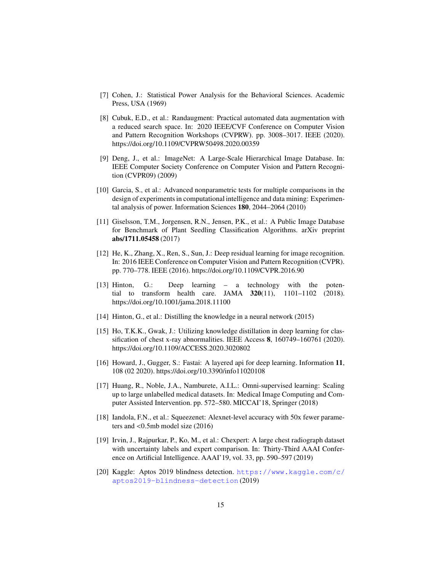- <span id="page-14-13"></span>[7] Cohen, J.: Statistical Power Analysis for the Behavioral Sciences. Academic Press, USA (1969)
- <span id="page-14-11"></span>[8] Cubuk, E.D., et al.: Randaugment: Practical automated data augmentation with a reduced search space. In: 2020 IEEE/CVF Conference on Computer Vision and Pattern Recognition Workshops (CVPRW). pp. 3008–3017. IEEE (2020). https://doi.org/10.1109/CVPRW50498.2020.00359
- <span id="page-14-2"></span>[9] Deng, J., et al.: ImageNet: A Large-Scale Hierarchical Image Database. In: IEEE Computer Society Conference on Computer Vision and Pattern Recognition (CVPR09) (2009)
- <span id="page-14-12"></span>[10] Garcia, S., et al.: Advanced nonparametric tests for multiple comparisons in the design of experiments in computational intelligence and data mining: Experimental analysis of power. Information Sciences 180, 2044–2064 (2010)
- <span id="page-14-6"></span>[11] Giselsson, T.M., Jorgensen, R.N., Jensen, P.K., et al.: A Public Image Database for Benchmark of Plant Seedling Classification Algorithms. arXiv preprint abs/1711.05458 (2017)
- <span id="page-14-1"></span>[12] He, K., Zhang, X., Ren, S., Sun, J.: Deep residual learning for image recognition. In: 2016 IEEE Conference on Computer Vision and Pattern Recognition (CVPR). pp. 770–778. IEEE (2016). https://doi.org/10.1109/CVPR.2016.90
- <span id="page-14-0"></span>[13] Hinton, G.: Deep learning – a technology with the potential to transform health care. JAMA 320(11), 1101–1102 (2018). https://doi.org/10.1001/jama.2018.11100
- <span id="page-14-9"></span>[14] Hinton, G., et al.: Distilling the knowledge in a neural network (2015)
- <span id="page-14-4"></span>[15] Ho, T.K.K., Gwak, J.: Utilizing knowledge distillation in deep learning for classification of chest x-ray abnormalities. IEEE Access 8, 160749–160761 (2020). https://doi.org/10.1109/ACCESS.2020.3020802
- <span id="page-14-8"></span>[16] Howard, J., Gugger, S.: Fastai: A layered api for deep learning. Information 11, 108 (02 2020). https://doi.org/10.3390/info11020108
- <span id="page-14-10"></span>[17] Huang, R., Noble, J.A., Namburete, A.I.L.: Omni-supervised learning: Scaling up to large unlabelled medical datasets. In: Medical Image Computing and Computer Assisted Intervention. pp. 572–580. MICCAI'18, Springer (2018)
- <span id="page-14-7"></span>[18] Iandola, F.N., et al.: Squeezenet: Alexnet-level accuracy with 50x fewer parameters and <0.5mb model size (2016)
- <span id="page-14-3"></span>[19] Irvin, J., Rajpurkar, P., Ko, M., et al.: Chexpert: A large chest radiograph dataset with uncertainty labels and expert comparison. In: Thirty-Third AAAI Conference on Artificial Intelligence. AAAI'19, vol. 33, pp. 590–597 (2019)
- <span id="page-14-5"></span>[20] Kaggle: Aptos 2019 blindness detection. [https://www.kaggle.com/c/](https://www.kaggle.com/c/aptos2019-blindness-detection) [aptos2019-blindness-detection](https://www.kaggle.com/c/aptos2019-blindness-detection) (2019)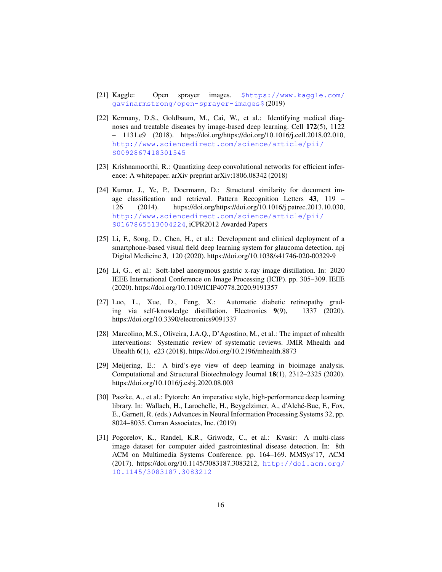- [21] Kaggle: Open sprayer images. [\\$https://www.kaggle.com/]($https://www.kaggle.com/gavinarmstrong/open-sprayer-images$) [gavinarmstrong/open-sprayer-images\\$]($https://www.kaggle.com/gavinarmstrong/open-sprayer-images$) (2019)
- <span id="page-15-6"></span>[22] Kermany, D.S., Goldbaum, M., Cai, W., et al.: Identifying medical diagnoses and treatable diseases by image-based deep learning. Cell 172(5), 1122 – 1131.e9 (2018). https://doi.org/https://doi.org/10.1016/j.cell.2018.02.010, [http://www.sciencedirect.com/science/article/pii/](http://www.sciencedirect.com/science/article/pii/S0092867418301545) [S0092867418301545](http://www.sciencedirect.com/science/article/pii/S0092867418301545)
- <span id="page-15-2"></span>[23] Krishnamoorthi, R.: Quantizing deep convolutional networks for efficient inference: A whitepaper. arXiv preprint arXiv:1806.08342 (2018)
- <span id="page-15-8"></span>[24] Kumar, J., Ye, P., Doermann, D.: Structural similarity for document image classification and retrieval. Pattern Recognition Letters 43, 119 – 126 (2014). https://doi.org/https://doi.org/10.1016/j.patrec.2013.10.030, [http://www.sciencedirect.com/science/article/pii/](http://www.sciencedirect.com/science/article/pii/S0167865513004224) [S0167865513004224](http://www.sciencedirect.com/science/article/pii/S0167865513004224), iCPR2012 Awarded Papers
- <span id="page-15-3"></span>[25] Li, F., Song, D., Chen, H., et al.: Development and clinical deployment of a smartphone-based visual field deep learning system for glaucoma detection. npj Digital Medicine 3, 120 (2020). https://doi.org/10.1038/s41746-020-00329-9
- <span id="page-15-5"></span>[26] Li, G., et al.: Soft-label anonymous gastric x-ray image distillation. In: 2020 IEEE International Conference on Image Processing (ICIP). pp. 305–309. IEEE (2020). https://doi.org/10.1109/ICIP40778.2020.9191357
- <span id="page-15-4"></span>[27] Luo, L., Xue, D., Feng, X.: Automatic diabetic retinopathy grading via self-knowledge distillation. Electronics 9(9), 1337 (2020). https://doi.org/10.3390/electronics9091337
- <span id="page-15-1"></span>[28] Marcolino, M.S., Oliveira, J.A.Q., D'Agostino, M., et al.: The impact of mhealth interventions: Systematic review of systematic reviews. JMIR Mhealth and Uhealth 6(1), e23 (2018). https://doi.org/10.2196/mhealth.8873
- <span id="page-15-0"></span>[29] Meijering, E.: A bird's-eye view of deep learning in bioimage analysis. Computational and Structural Biotechnology Journal 18(1), 2312–2325 (2020). https://doi.org/10.1016/j.csbj.2020.08.003
- <span id="page-15-9"></span>[30] Paszke, A., et al.: Pytorch: An imperative style, high-performance deep learning library. In: Wallach, H., Larochelle, H., Beygelzimer, A., d'Alché-Buc, F., Fox, E., Garnett, R. (eds.) Advances in Neural Information Processing Systems 32, pp. 8024–8035. Curran Associates, Inc. (2019)
- <span id="page-15-7"></span>[31] Pogorelov, K., Randel, K.R., Griwodz, C., et al.: Kvasir: A multi-class image dataset for computer aided gastrointestinal disease detection. In: 8th ACM on Multimedia Systems Conference. pp. 164–169. MMSys'17, ACM (2017). https://doi.org/10.1145/3083187.3083212, [http://doi.acm.org/](http://doi.acm.org/10.1145/3083187.3083212) [10.1145/3083187.3083212](http://doi.acm.org/10.1145/3083187.3083212)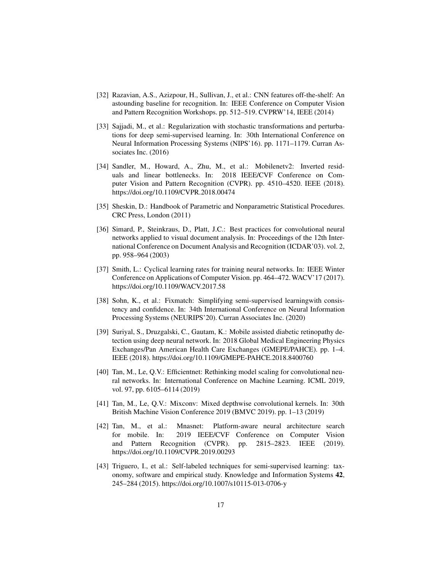- <span id="page-16-3"></span>[32] Razavian, A.S., Azizpour, H., Sullivan, J., et al.: CNN features off-the-shelf: An astounding baseline for recognition. In: IEEE Conference on Computer Vision and Pattern Recognition Workshops. pp. 512–519. CVPRW'14, IEEE (2014)
- <span id="page-16-9"></span>[33] Sajjadi, M., et al.: Regularization with stochastic transformations and perturbations for deep semi-supervised learning. In: 30th International Conference on Neural Information Processing Systems (NIPS'16). pp. 1171–1179. Curran Associates Inc. (2016)
- <span id="page-16-1"></span>[34] Sandler, M., Howard, A., Zhu, M., et al.: Mobilenetv2: Inverted residuals and linear bottlenecks. In: 2018 IEEE/CVF Conference on Computer Vision and Pattern Recognition (CVPR). pp. 4510–4520. IEEE (2018). https://doi.org/10.1109/CVPR.2018.00474
- <span id="page-16-11"></span>[35] Sheskin, D.: Handbook of Parametric and Nonparametric Statistical Procedures. CRC Press, London (2011)
- <span id="page-16-7"></span>[36] Simard, P., Steinkraus, D., Platt, J.C.: Best practices for convolutional neural networks applied to visual document analysis. In: Proceedings of the 12th International Conference on Document Analysis and Recognition (ICDAR'03). vol. 2, pp. 958–964 (2003)
- <span id="page-16-6"></span>[37] Smith, L.: Cyclical learning rates for training neural networks. In: IEEE Winter Conference on Applications of Computer Vision. pp. 464–472.WACV'17 (2017). https://doi.org/10.1109/WACV.2017.58
- <span id="page-16-10"></span>[38] Sohn, K., et al.: Fixmatch: Simplifying semi-supervised learningwith consistency and confidence. In: 34th International Conference on Neural Information Processing Systems (NEURIPS'20). Curran Associates Inc. (2020)
- <span id="page-16-2"></span>[39] Suriyal, S., Druzgalski, C., Gautam, K.: Mobile assisted diabetic retinopathy detection using deep neural network. In: 2018 Global Medical Engineering Physics Exchanges/Pan American Health Care Exchanges (GMEPE/PAHCE). pp. 1–4. IEEE (2018). https://doi.org/10.1109/GMEPE-PAHCE.2018.8400760
- <span id="page-16-0"></span>[40] Tan, M., Le, Q.V.: Efficientnet: Rethinking model scaling for convolutional neural networks. In: International Conference on Machine Learning. ICML 2019, vol. 97, pp. 6105–6114 (2019)
- <span id="page-16-4"></span>[41] Tan, M., Le, Q.V.: Mixconv: Mixed depthwise convolutional kernels. In: 30th British Machine Vision Conference 2019 (BMVC 2019). pp. 1–13 (2019)
- <span id="page-16-5"></span>[42] Tan, M., et al.: Mnasnet: Platform-aware neural architecture search for mobile. In: 2019 IEEE/CVF Conference on Computer Vision and Pattern Recognition (CVPR). pp. 2815–2823. IEEE (2019). https://doi.org/10.1109/CVPR.2019.00293
- <span id="page-16-8"></span>[43] Triguero, I., et al.: Self-labeled techniques for semi-supervised learning: taxonomy, software and empirical study. Knowledge and Information Systems 42, 245–284 (2015). https://doi.org/10.1007/s10115-013-0706-y